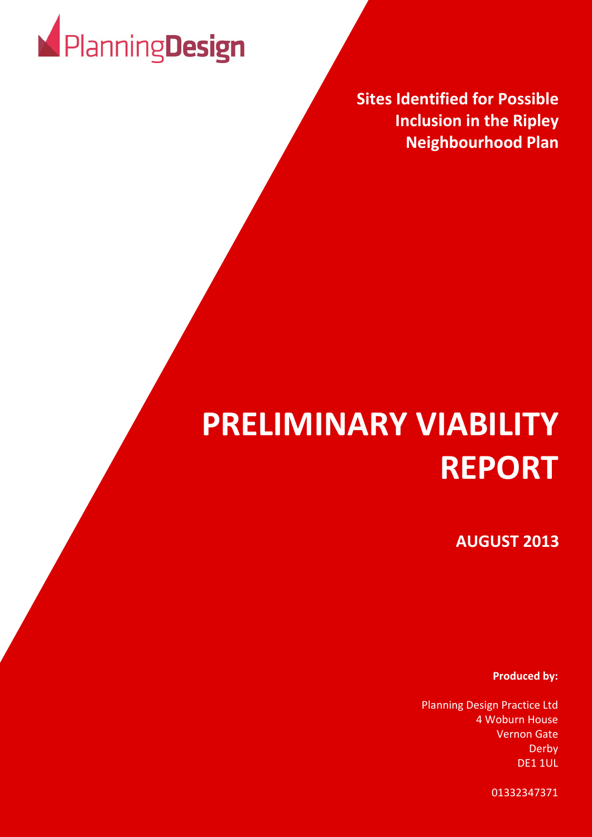

**Sites Identified for Possible Inclusion in the Ripley Neighbourhood Plan**

# **PRELIMINARY VIABILITY REPORT**

**AUGUST 2013**

**Produced by:**

Planning Design Practice Ltd 4 Woburn House Vernon Gate Derby DE1 1UL

01332347371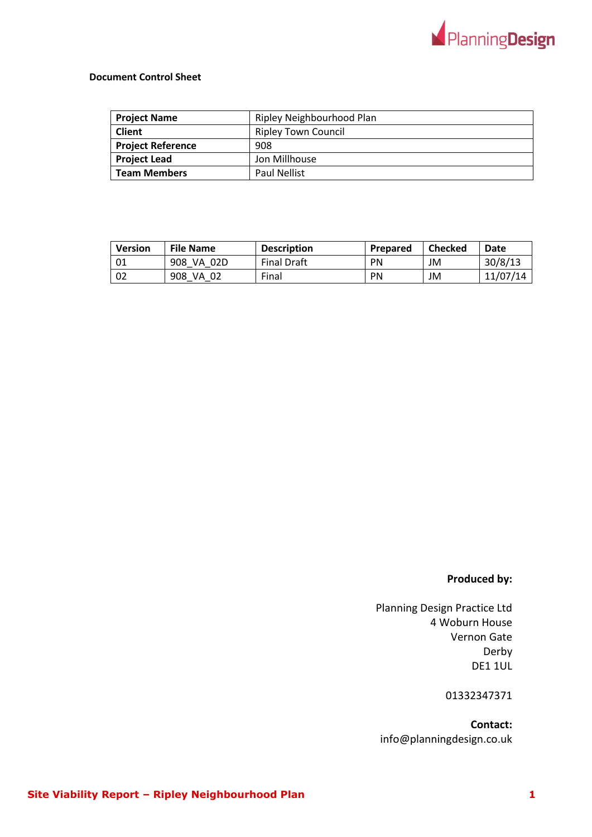

### **Document Control Sheet**

| <b>Project Name</b>      | Ripley Neighbourhood Plan  |
|--------------------------|----------------------------|
| <b>Client</b>            | <b>Ripley Town Council</b> |
| <b>Project Reference</b> | 908                        |
| <b>Project Lead</b>      | Jon Millhouse              |
| <b>Team Members</b>      | <b>Paul Nellist</b>        |

| Version | <b>File Name</b> | <b>Description</b> | Prepared  | Checked | <b>Date</b> |
|---------|------------------|--------------------|-----------|---------|-------------|
| 01      | 908<br>VA 02D    | <b>Final Draft</b> | PN        | JM      | 30/8/13     |
| 02      | 908<br>VA<br>-02 | Final              | <b>PN</b> | JM      | 11/07/14    |

## **Produced by:**

Planning Design Practice Ltd 4 Woburn House Vernon Gate Derby DE1 1UL

01332347371

**Contact:** info@planningdesign.co.uk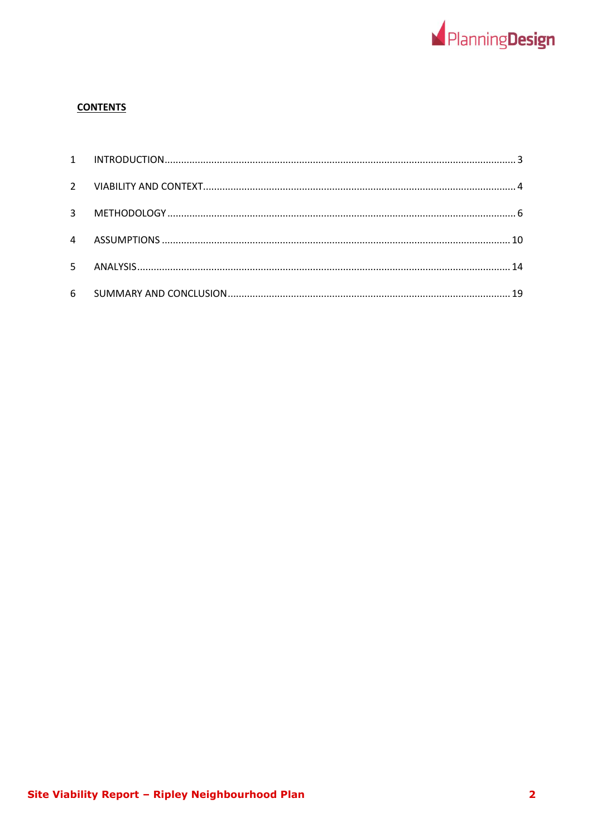

## **CONTENTS**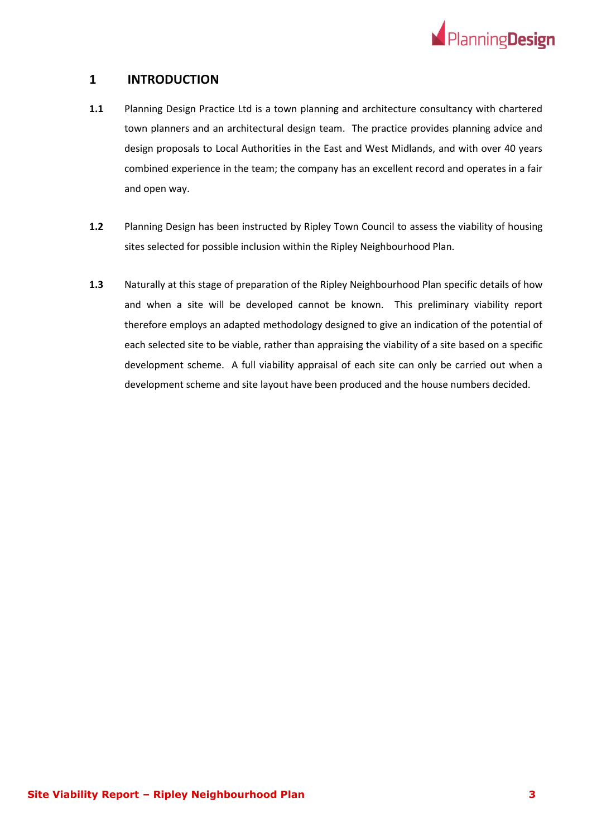

## <span id="page-3-0"></span>**1 INTRODUCTION**

- **1.1** Planning Design Practice Ltd is a town planning and architecture consultancy with chartered town planners and an architectural design team. The practice provides planning advice and design proposals to Local Authorities in the East and West Midlands, and with over 40 years combined experience in the team; the company has an excellent record and operates in a fair and open way.
- **1.2** Planning Design has been instructed by Ripley Town Council to assess the viability of housing sites selected for possible inclusion within the Ripley Neighbourhood Plan.
- **1.3** Naturally at this stage of preparation of the Ripley Neighbourhood Plan specific details of how and when a site will be developed cannot be known. This preliminary viability report therefore employs an adapted methodology designed to give an indication of the potential of each selected site to be viable, rather than appraising the viability of a site based on a specific development scheme. A full viability appraisal of each site can only be carried out when a development scheme and site layout have been produced and the house numbers decided.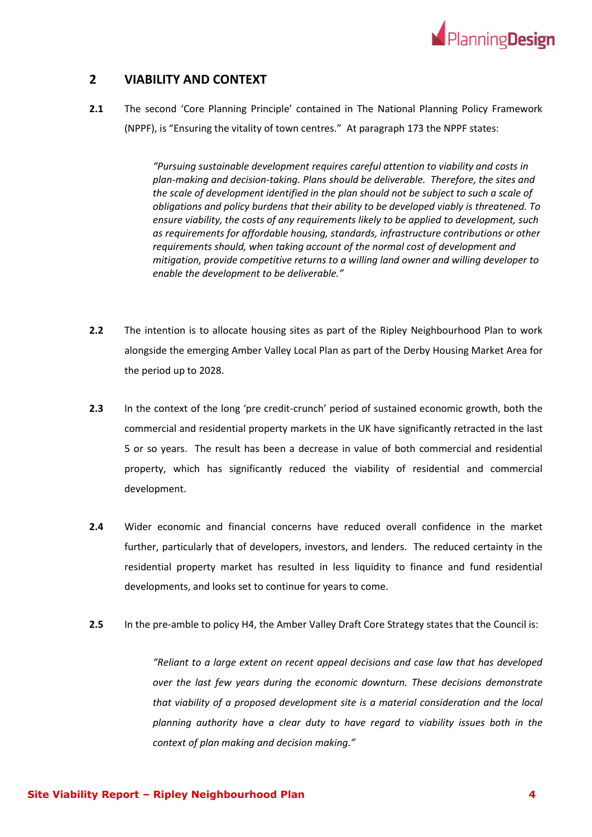

## <span id="page-4-0"></span>**2 VIABILITY AND CONTEXT**

**2.1** The second 'Core Planning Principle' contained in The National Planning Policy Framework (NPPF), is "Ensuring the vitality of town centres." At paragraph 173 the NPPF states:

> *"Pursuing sustainable development requires careful attention to viability and costs in plan-making and decision-taking. Plans should be deliverable. Therefore, the sites and the scale of development identified in the plan should not be subject to such a scale of obligations and policy burdens that their ability to be developed viably is threatened. To ensure viability, the costs of any requirements likely to be applied to development, such as requirements for affordable housing, standards, infrastructure contributions or other requirements should, when taking account of the normal cost of development and mitigation, provide competitive returns to a willing land owner and willing developer to enable the development to be deliverable."*

- **2.2** The intention is to allocate housing sites as part of the Ripley Neighbourhood Plan to work alongside the emerging Amber Valley Local Plan as part of the Derby Housing Market Area for the period up to 2028.
- **2.3** In the context of the long 'pre credit-crunch' period of sustained economic growth, both the commercial and residential property markets in the UK have significantly retracted in the last 5 or so years. The result has been a decrease in value of both commercial and residential property, which has significantly reduced the viability of residential and commercial development.
- **2.4** Wider economic and financial concerns have reduced overall confidence in the market further, particularly that of developers, investors, and lenders. The reduced certainty in the residential property market has resulted in less liquidity to finance and fund residential developments, and looks set to continue for years to come.
- **2.5** In the pre-amble to policy H4, the Amber Valley Draft Core Strategy states that the Council is:

*"Reliant to a large extent on recent appeal decisions and case law that has developed over the last few years during the economic downturn. These decisions demonstrate that viability of a proposed development site is a material consideration and the local planning authority have a clear duty to have regard to viability issues both in the context of plan making and decision making."*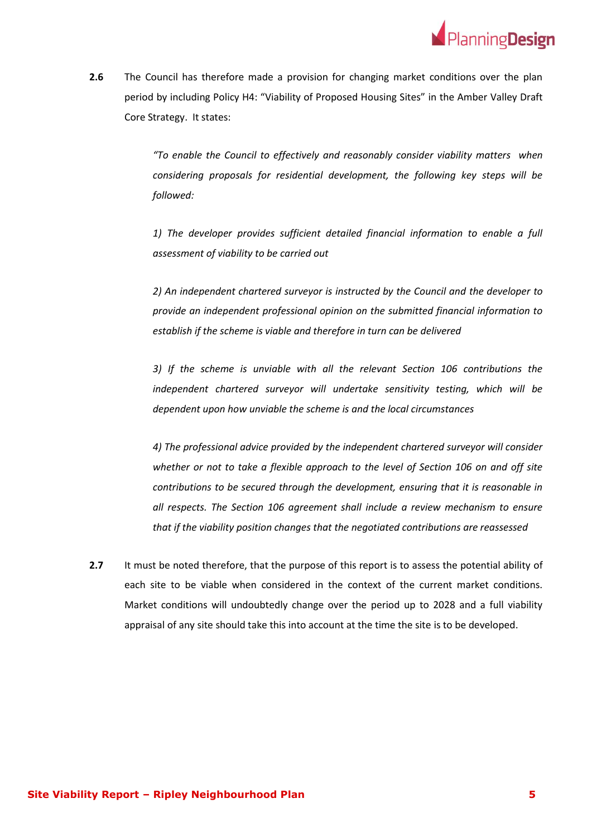

**2.6** The Council has therefore made a provision for changing market conditions over the plan period by including Policy H4: "Viability of Proposed Housing Sites" in the Amber Valley Draft Core Strategy. It states:

> *"To enable the Council to effectively and reasonably consider viability matters when considering proposals for residential development, the following key steps will be followed:*

> *1) The developer provides sufficient detailed financial information to enable a full assessment of viability to be carried out*

> *2) An independent chartered surveyor is instructed by the Council and the developer to provide an independent professional opinion on the submitted financial information to establish if the scheme is viable and therefore in turn can be delivered*

> *3) If the scheme is unviable with all the relevant Section 106 contributions the independent chartered surveyor will undertake sensitivity testing, which will be dependent upon how unviable the scheme is and the local circumstances*

> *4) The professional advice provided by the independent chartered surveyor will consider whether or not to take a flexible approach to the level of Section 106 on and off site contributions to be secured through the development, ensuring that it is reasonable in all respects. The Section 106 agreement shall include a review mechanism to ensure that if the viability position changes that the negotiated contributions are reassessed*

**2.7** It must be noted therefore, that the purpose of this report is to assess the potential ability of each site to be viable when considered in the context of the current market conditions. Market conditions will undoubtedly change over the period up to 2028 and a full viability appraisal of any site should take this into account at the time the site is to be developed.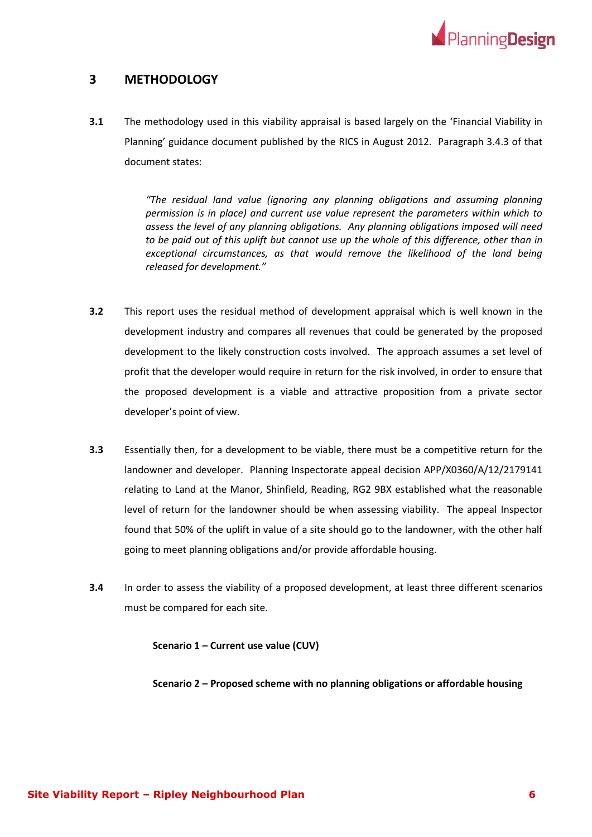

## <span id="page-6-0"></span>**3 METHODOLOGY**

**3.1** The methodology used in this viability appraisal is based largely on the 'Financial Viability in Planning' guidance document published by the RICS in August 2012. Paragraph 3.4.3 of that document states:

> *"The residual land value (ignoring any planning obligations and assuming planning permission is in place) and current use value represent the parameters within which to assess the level of any planning obligations. Any planning obligations imposed will need*  to be paid out of this uplift but cannot use up the whole of this difference, other than in *exceptional circumstances, as that would remove the likelihood of the land being released for development."*

- **3.2** This report uses the residual method of development appraisal which is well known in the development industry and compares all revenues that could be generated by the proposed development to the likely construction costs involved. The approach assumes a set level of profit that the developer would require in return for the risk involved, in order to ensure that the proposed development is a viable and attractive proposition from a private sector developer's point of view.
- **3.3** Essentially then, for a development to be viable, there must be a competitive return for the landowner and developer. Planning Inspectorate appeal decision APP/X0360/A/12/2179141 relating to Land at the Manor, Shinfield, Reading, RG2 9BX established what the reasonable level of return for the landowner should be when assessing viability. The appeal Inspector found that 50% of the uplift in value of a site should go to the landowner, with the other half going to meet planning obligations and/or provide affordable housing.
- **3.4** In order to assess the viability of a proposed development, at least three different scenarios must be compared for each site.

**Scenario 1 – Current use value (CUV)**

**Scenario 2 – Proposed scheme with no planning obligations or affordable housing**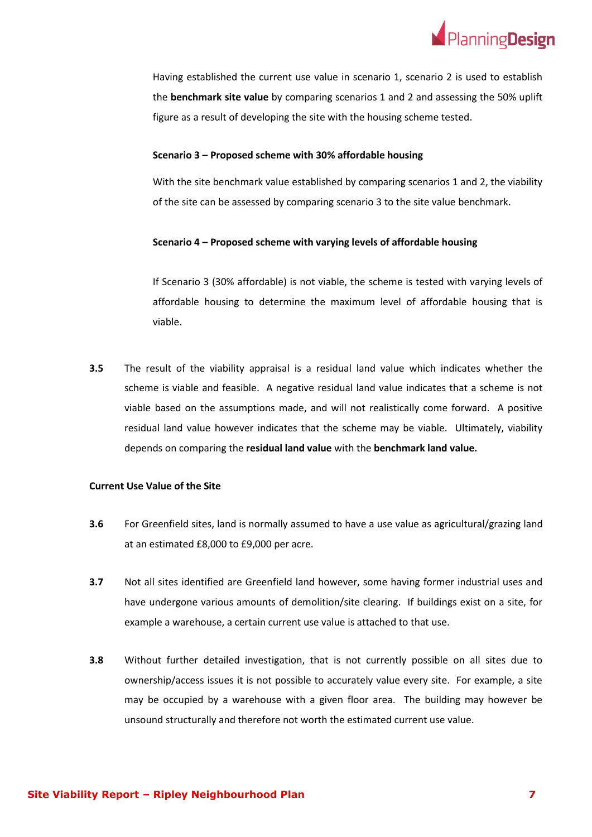

Having established the current use value in scenario 1, scenario 2 is used to establish the **benchmark site value** by comparing scenarios 1 and 2 and assessing the 50% uplift figure as a result of developing the site with the housing scheme tested.

#### **Scenario 3 – Proposed scheme with 30% affordable housing**

With the site benchmark value established by comparing scenarios 1 and 2, the viability of the site can be assessed by comparing scenario 3 to the site value benchmark.

#### **Scenario 4 – Proposed scheme with varying levels of affordable housing**

If Scenario 3 (30% affordable) is not viable, the scheme is tested with varying levels of affordable housing to determine the maximum level of affordable housing that is viable.

**3.5** The result of the viability appraisal is a residual land value which indicates whether the scheme is viable and feasible. A negative residual land value indicates that a scheme is not viable based on the assumptions made, and will not realistically come forward. A positive residual land value however indicates that the scheme may be viable. Ultimately, viability depends on comparing the **residual land value** with the **benchmark land value.**

#### **Current Use Value of the Site**

- **3.6** For Greenfield sites, land is normally assumed to have a use value as agricultural/grazing land at an estimated £8,000 to £9,000 per acre.
- **3.7** Not all sites identified are Greenfield land however, some having former industrial uses and have undergone various amounts of demolition/site clearing. If buildings exist on a site, for example a warehouse, a certain current use value is attached to that use.
- **3.8** Without further detailed investigation, that is not currently possible on all sites due to ownership/access issues it is not possible to accurately value every site. For example, a site may be occupied by a warehouse with a given floor area. The building may however be unsound structurally and therefore not worth the estimated current use value.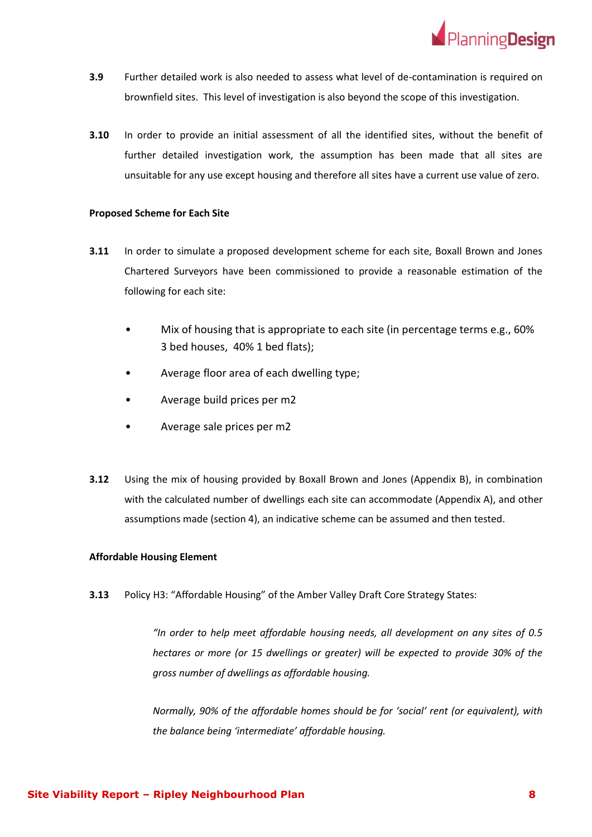

- **3.9** Further detailed work is also needed to assess what level of de-contamination is required on brownfield sites. This level of investigation is also beyond the scope of this investigation.
- **3.10** In order to provide an initial assessment of all the identified sites, without the benefit of further detailed investigation work, the assumption has been made that all sites are unsuitable for any use except housing and therefore all sites have a current use value of zero.

#### **Proposed Scheme for Each Site**

- **3.11** In order to simulate a proposed development scheme for each site, Boxall Brown and Jones Chartered Surveyors have been commissioned to provide a reasonable estimation of the following for each site:
	- Mix of housing that is appropriate to each site (in percentage terms e.g., 60% 3 bed houses, 40% 1 bed flats);
	- Average floor area of each dwelling type;
	- Average build prices per m2
	- Average sale prices per m2
- **3.12** Using the mix of housing provided by Boxall Brown and Jones (Appendix B), in combination with the calculated number of dwellings each site can accommodate (Appendix A), and other assumptions made (section 4), an indicative scheme can be assumed and then tested.

#### **Affordable Housing Element**

**3.13** Policy H3: "Affordable Housing" of the Amber Valley Draft Core Strategy States:

*"In order to help meet affordable housing needs, all development on any sites of 0.5 hectares or more (or 15 dwellings or greater) will be expected to provide 30% of the gross number of dwellings as affordable housing.* 

*Normally, 90% of the affordable homes should be for 'social' rent (or equivalent), with the balance being 'intermediate' affordable housing.*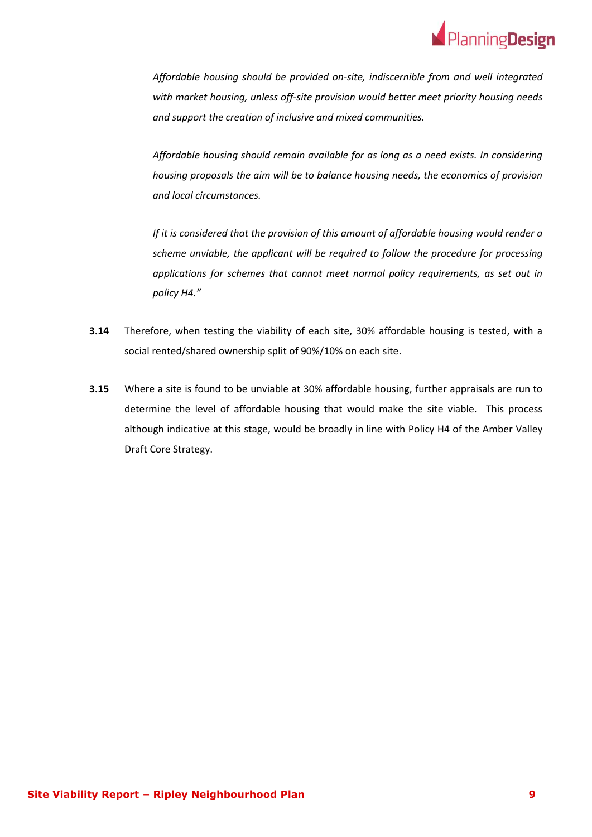

*Affordable housing should be provided on-site, indiscernible from and well integrated with market housing, unless off-site provision would better meet priority housing needs and support the creation of inclusive and mixed communities.*

*Affordable housing should remain available for as long as a need exists. In considering housing proposals the aim will be to balance housing needs, the economics of provision and local circumstances.*

*If it is considered that the provision of this amount of affordable housing would render a scheme unviable, the applicant will be required to follow the procedure for processing applications for schemes that cannot meet normal policy requirements, as set out in policy H4."*

- **3.14** Therefore, when testing the viability of each site, 30% affordable housing is tested, with a social rented/shared ownership split of 90%/10% on each site.
- **3.15** Where a site is found to be unviable at 30% affordable housing, further appraisals are run to determine the level of affordable housing that would make the site viable. This process although indicative at this stage, would be broadly in line with Policy H4 of the Amber Valley Draft Core Strategy.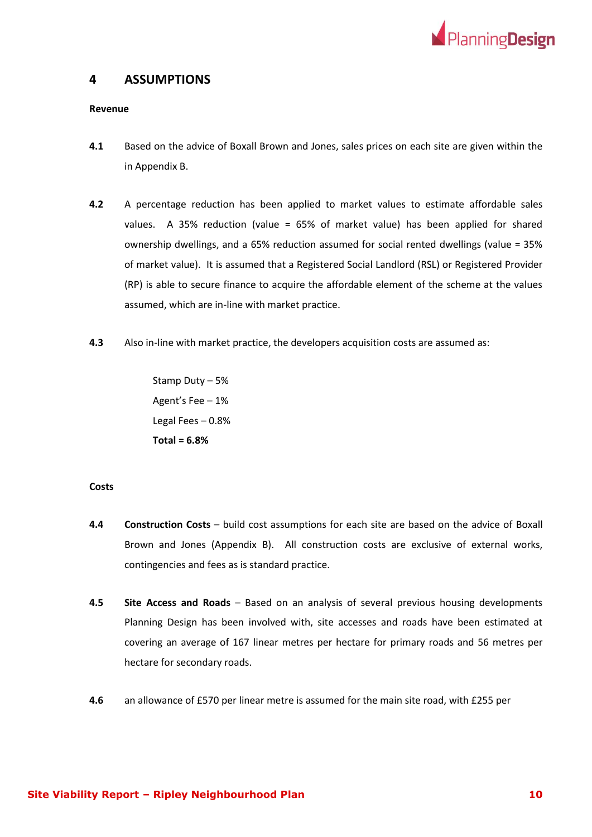

## <span id="page-10-0"></span>**4 ASSUMPTIONS**

#### **Revenue**

- **4.1** Based on the advice of Boxall Brown and Jones, sales prices on each site are given within the in Appendix B.
- **4.2** A percentage reduction has been applied to market values to estimate affordable sales values. A 35% reduction (value = 65% of market value) has been applied for shared ownership dwellings, and a 65% reduction assumed for social rented dwellings (value = 35% of market value). It is assumed that a Registered Social Landlord (RSL) or Registered Provider (RP) is able to secure finance to acquire the affordable element of the scheme at the values assumed, which are in-line with market practice.
- **4.3** Also in-line with market practice, the developers acquisition costs are assumed as:

Stamp Duty – 5% Agent's Fee – 1% Legal Fees – 0.8% **Total = 6.8%**

#### **Costs**

- **4.4 Construction Costs** build cost assumptions for each site are based on the advice of Boxall Brown and Jones (Appendix B). All construction costs are exclusive of external works, contingencies and fees as is standard practice.
- **4.5 Site Access and Roads** Based on an analysis of several previous housing developments Planning Design has been involved with, site accesses and roads have been estimated at covering an average of 167 linear metres per hectare for primary roads and 56 metres per hectare for secondary roads.
- **4.6** an allowance of £570 per linear metre is assumed for the main site road, with £255 per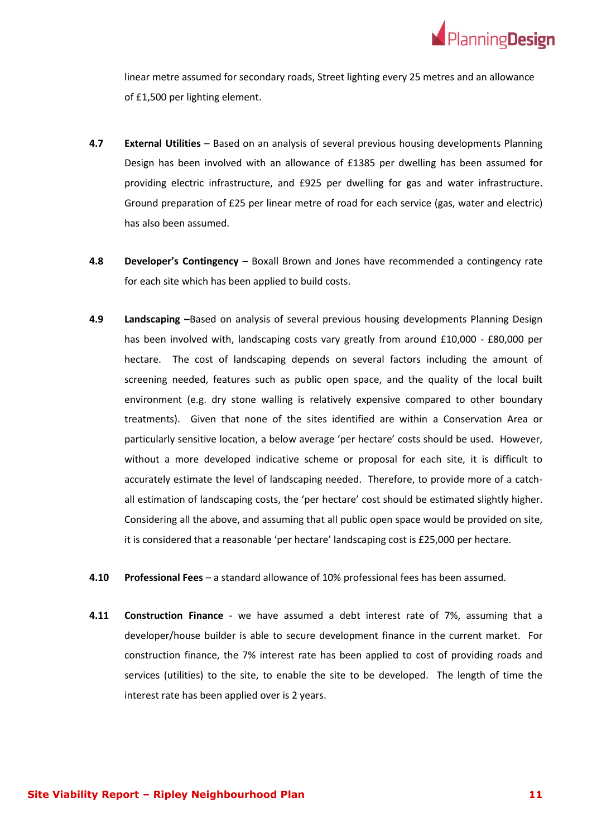

linear metre assumed for secondary roads, Street lighting every 25 metres and an allowance of £1,500 per lighting element.

- **4.7 External Utilities** Based on an analysis of several previous housing developments Planning Design has been involved with an allowance of £1385 per dwelling has been assumed for providing electric infrastructure, and £925 per dwelling for gas and water infrastructure. Ground preparation of £25 per linear metre of road for each service (gas, water and electric) has also been assumed.
- **4.8 Developer's Contingency**  Boxall Brown and Jones have recommended a contingency rate for each site which has been applied to build costs.
- **4.9 Landscaping –**Based on analysis of several previous housing developments Planning Design has been involved with, landscaping costs vary greatly from around £10,000 - £80,000 per hectare. The cost of landscaping depends on several factors including the amount of screening needed, features such as public open space, and the quality of the local built environment (e.g. dry stone walling is relatively expensive compared to other boundary treatments). Given that none of the sites identified are within a Conservation Area or particularly sensitive location, a below average 'per hectare' costs should be used. However, without a more developed indicative scheme or proposal for each site, it is difficult to accurately estimate the level of landscaping needed. Therefore, to provide more of a catchall estimation of landscaping costs, the 'per hectare' cost should be estimated slightly higher. Considering all the above, and assuming that all public open space would be provided on site, it is considered that a reasonable 'per hectare' landscaping cost is £25,000 per hectare.
- **4.10 Professional Fees** a standard allowance of 10% professional fees has been assumed.
- **4.11 Construction Finance** we have assumed a debt interest rate of 7%, assuming that a developer/house builder is able to secure development finance in the current market. For construction finance, the 7% interest rate has been applied to cost of providing roads and services (utilities) to the site, to enable the site to be developed. The length of time the interest rate has been applied over is 2 years.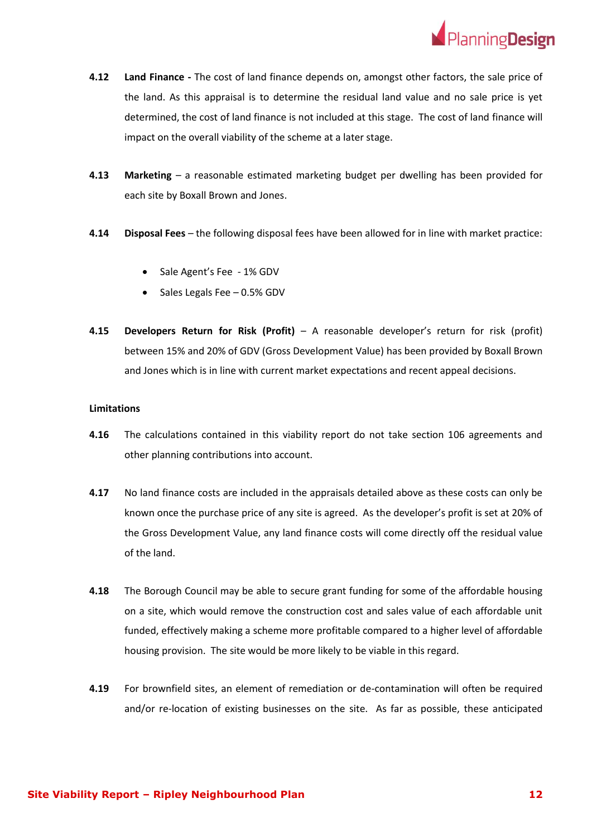

- **4.12 Land Finance -** The cost of land finance depends on, amongst other factors, the sale price of the land. As this appraisal is to determine the residual land value and no sale price is yet determined, the cost of land finance is not included at this stage. The cost of land finance will impact on the overall viability of the scheme at a later stage.
- **4.13 Marketing**  a reasonable estimated marketing budget per dwelling has been provided for each site by Boxall Brown and Jones.
- **4.14 Disposal Fees**  the following disposal fees have been allowed for in line with market practice:
	- Sale Agent's Fee 1% GDV
	- Sales Legals Fee 0.5% GDV
- **4.15 Developers Return for Risk (Profit)** A reasonable developer's return for risk (profit) between 15% and 20% of GDV (Gross Development Value) has been provided by Boxall Brown and Jones which is in line with current market expectations and recent appeal decisions.

#### **Limitations**

- **4.16** The calculations contained in this viability report do not take section 106 agreements and other planning contributions into account.
- **4.17** No land finance costs are included in the appraisals detailed above as these costs can only be known once the purchase price of any site is agreed. As the developer's profit is set at 20% of the Gross Development Value, any land finance costs will come directly off the residual value of the land.
- **4.18** The Borough Council may be able to secure grant funding for some of the affordable housing on a site, which would remove the construction cost and sales value of each affordable unit funded, effectively making a scheme more profitable compared to a higher level of affordable housing provision. The site would be more likely to be viable in this regard.
- **4.19** For brownfield sites, an element of remediation or de-contamination will often be required and/or re-location of existing businesses on the site. As far as possible, these anticipated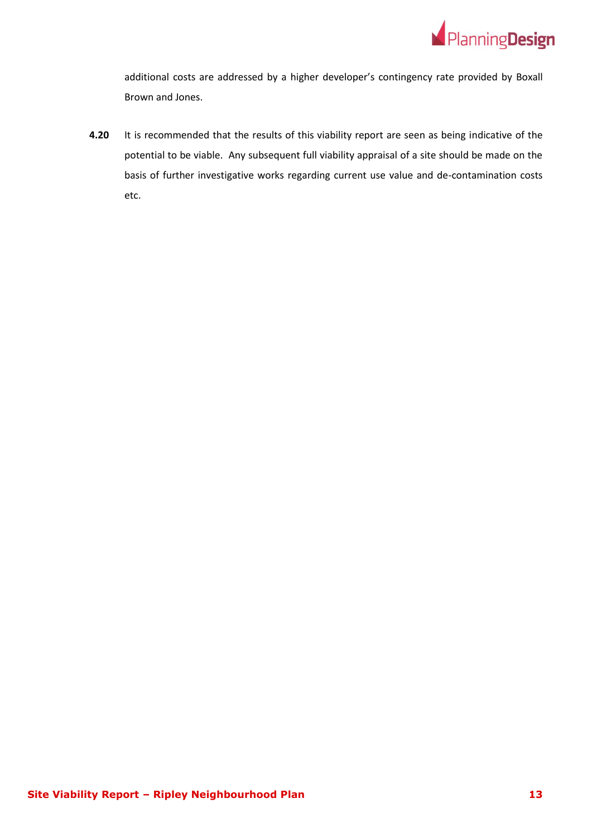

additional costs are addressed by a higher developer's contingency rate provided by Boxall Brown and Jones.

**4.20** It is recommended that the results of this viability report are seen as being indicative of the potential to be viable. Any subsequent full viability appraisal of a site should be made on the basis of further investigative works regarding current use value and de-contamination costs etc.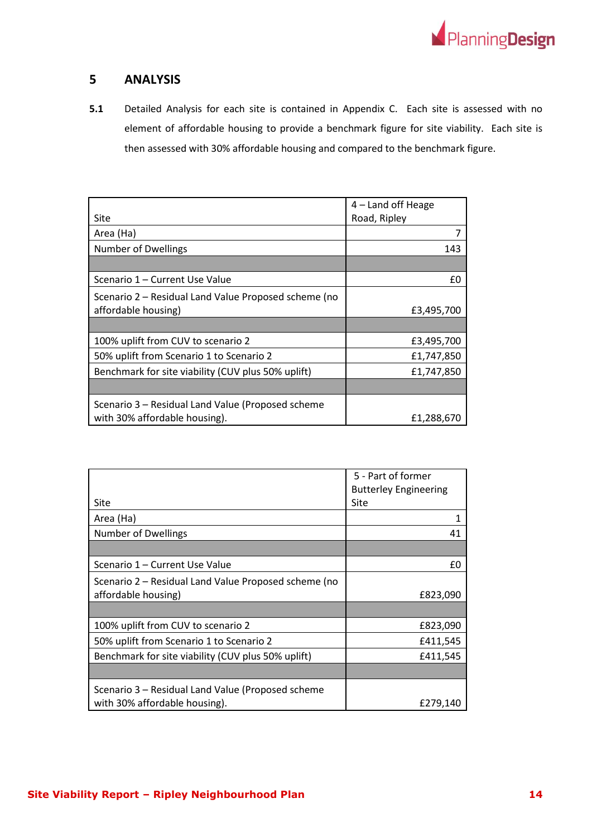

## <span id="page-14-0"></span>**5 ANALYSIS**

**5.1** Detailed Analysis for each site is contained in Appendix C. Each site is assessed with no element of affordable housing to provide a benchmark figure for site viability. Each site is then assessed with 30% affordable housing and compared to the benchmark figure.

|                                                      | $4$ – Land off Heage |
|------------------------------------------------------|----------------------|
| Site                                                 | Road, Ripley         |
| Area (Ha)                                            |                      |
| <b>Number of Dwellings</b>                           | 143                  |
|                                                      |                      |
| Scenario 1 – Current Use Value                       | £0                   |
| Scenario 2 – Residual Land Value Proposed scheme (no |                      |
| affordable housing)                                  | £3,495,700           |
|                                                      |                      |
| 100% uplift from CUV to scenario 2                   | £3,495,700           |
| 50% uplift from Scenario 1 to Scenario 2             | £1,747,850           |
| Benchmark for site viability (CUV plus 50% uplift)   | £1,747,850           |
|                                                      |                      |
| Scenario 3 - Residual Land Value (Proposed scheme    |                      |
| with 30% affordable housing).                        | £1,288,670           |

|                                                      | 5 - Part of former           |
|------------------------------------------------------|------------------------------|
|                                                      | <b>Butterley Engineering</b> |
| Site                                                 | Site                         |
| Area (Ha)                                            |                              |
| <b>Number of Dwellings</b>                           | 41                           |
|                                                      |                              |
| Scenario 1 – Current Use Value                       | £0                           |
| Scenario 2 – Residual Land Value Proposed scheme (no |                              |
| affordable housing)                                  | £823,090                     |
|                                                      |                              |
| 100% uplift from CUV to scenario 2                   | £823,090                     |
| 50% uplift from Scenario 1 to Scenario 2             | £411,545                     |
| Benchmark for site viability (CUV plus 50% uplift)   | £411,545                     |
|                                                      |                              |
| Scenario 3 – Residual Land Value (Proposed scheme    |                              |
| with 30% affordable housing).                        | £279,140                     |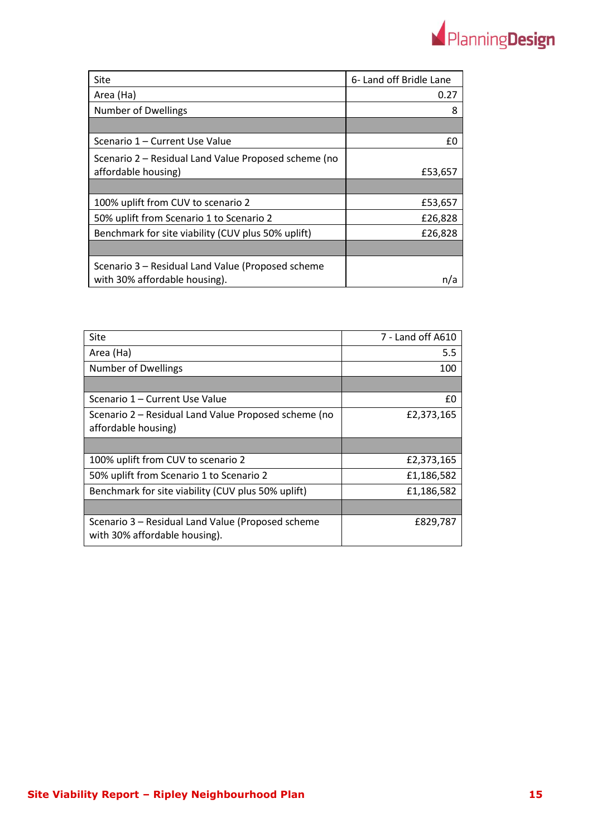

| Site                                                 | 6- Land off Bridle Lane |
|------------------------------------------------------|-------------------------|
| Area (Ha)                                            | 0.27                    |
| <b>Number of Dwellings</b>                           | 8                       |
|                                                      |                         |
| Scenario 1 – Current Use Value                       | £0                      |
| Scenario 2 – Residual Land Value Proposed scheme (no |                         |
| affordable housing)                                  | £53,657                 |
|                                                      |                         |
| 100% uplift from CUV to scenario 2                   | £53,657                 |
| 50% uplift from Scenario 1 to Scenario 2             | £26,828                 |
| Benchmark for site viability (CUV plus 50% uplift)   | £26,828                 |
|                                                      |                         |
| Scenario 3 – Residual Land Value (Proposed scheme    |                         |
| with 30% affordable housing).                        |                         |

| <b>Site</b>                                                                        | 7 - Land off A610 |
|------------------------------------------------------------------------------------|-------------------|
| Area (Ha)                                                                          | 5.5               |
| <b>Number of Dwellings</b>                                                         | 100               |
|                                                                                    |                   |
| Scenario 1 – Current Use Value                                                     | £0                |
| Scenario 2 – Residual Land Value Proposed scheme (no<br>affordable housing)        | £2,373,165        |
|                                                                                    |                   |
| 100% uplift from CUV to scenario 2                                                 | £2,373,165        |
| 50% uplift from Scenario 1 to Scenario 2                                           | £1,186,582        |
| Benchmark for site viability (CUV plus 50% uplift)                                 | £1,186,582        |
|                                                                                    |                   |
| Scenario 3 - Residual Land Value (Proposed scheme<br>with 30% affordable housing). | £829,787          |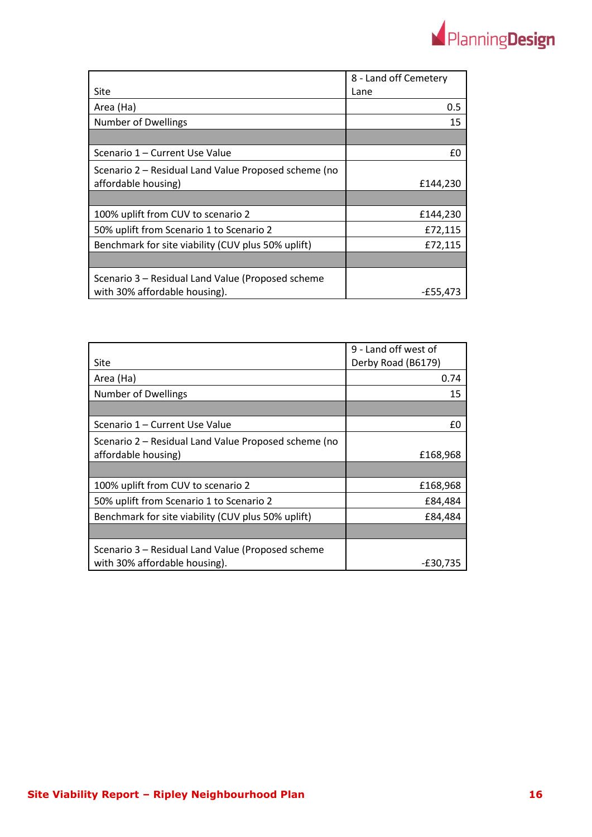

|                                                      | 8 - Land off Cemetery |
|------------------------------------------------------|-----------------------|
| Site                                                 | Lane                  |
| Area (Ha)                                            | 0.5                   |
| <b>Number of Dwellings</b>                           | 15                    |
|                                                      |                       |
| Scenario 1 – Current Use Value                       | £0                    |
| Scenario 2 – Residual Land Value Proposed scheme (no |                       |
| affordable housing)                                  | £144,230              |
|                                                      |                       |
| 100% uplift from CUV to scenario 2                   | £144,230              |
| 50% uplift from Scenario 1 to Scenario 2             | £72,115               |
| Benchmark for site viability (CUV plus 50% uplift)   | £72,115               |
|                                                      |                       |
| Scenario 3 – Residual Land Value (Proposed scheme    |                       |
| with 30% affordable housing).                        | -£55,473              |

|                                                      | 9 - Land off west of |
|------------------------------------------------------|----------------------|
| Site                                                 | Derby Road (B6179)   |
| Area (Ha)                                            | 0.74                 |
| <b>Number of Dwellings</b>                           | 15                   |
|                                                      |                      |
| Scenario 1 - Current Use Value                       | £0                   |
| Scenario 2 – Residual Land Value Proposed scheme (no |                      |
| affordable housing)                                  | £168,968             |
|                                                      |                      |
| 100% uplift from CUV to scenario 2                   | £168,968             |
| 50% uplift from Scenario 1 to Scenario 2             | £84,484              |
| Benchmark for site viability (CUV plus 50% uplift)   | £84,484              |
|                                                      |                      |
| Scenario 3 - Residual Land Value (Proposed scheme    |                      |
| with 30% affordable housing).                        | -£30,735             |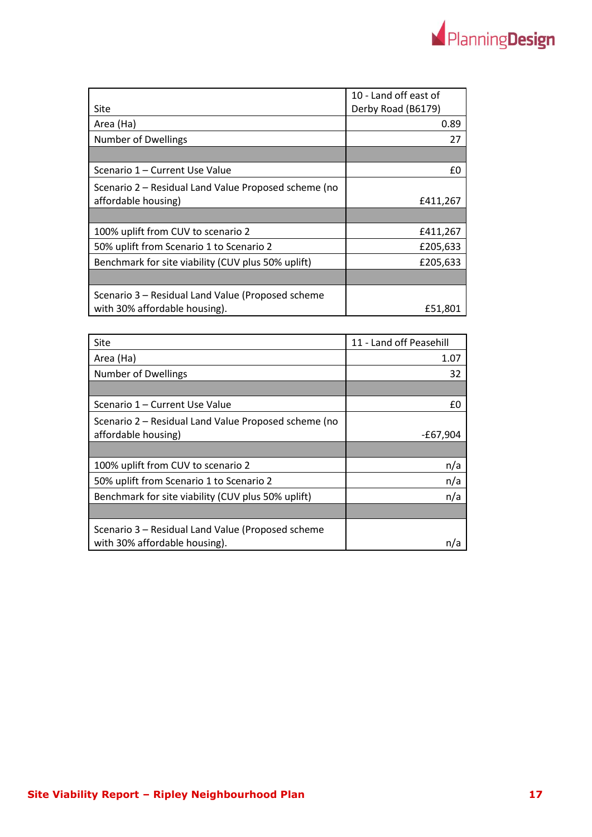|                                                      | 10 - Land off east of |
|------------------------------------------------------|-----------------------|
| Site                                                 | Derby Road (B6179)    |
| Area (Ha)                                            | 0.89                  |
| <b>Number of Dwellings</b>                           | 27                    |
|                                                      |                       |
| Scenario 1 – Current Use Value                       | £0                    |
| Scenario 2 – Residual Land Value Proposed scheme (no |                       |
| affordable housing)                                  | £411,267              |
|                                                      |                       |
| 100% uplift from CUV to scenario 2                   | £411,267              |
| 50% uplift from Scenario 1 to Scenario 2             | £205,633              |
| Benchmark for site viability (CUV plus 50% uplift)   | £205,633              |
|                                                      |                       |
| Scenario 3 – Residual Land Value (Proposed scheme    |                       |
| with 30% affordable housing).                        | £51,801               |

| Site                                                 | 11 - Land off Peasehill |
|------------------------------------------------------|-------------------------|
| Area (Ha)                                            | 1.07                    |
| <b>Number of Dwellings</b>                           | 32                      |
|                                                      |                         |
| Scenario 1 – Current Use Value                       | f٥                      |
| Scenario 2 – Residual Land Value Proposed scheme (no |                         |
| affordable housing)                                  | -£67,904                |
|                                                      |                         |
| 100% uplift from CUV to scenario 2                   | n/a                     |
| 50% uplift from Scenario 1 to Scenario 2             | n/a                     |
| Benchmark for site viability (CUV plus 50% uplift)   | n/a                     |
|                                                      |                         |
| Scenario 3 – Residual Land Value (Proposed scheme    |                         |
| with 30% affordable housing).                        | n/a                     |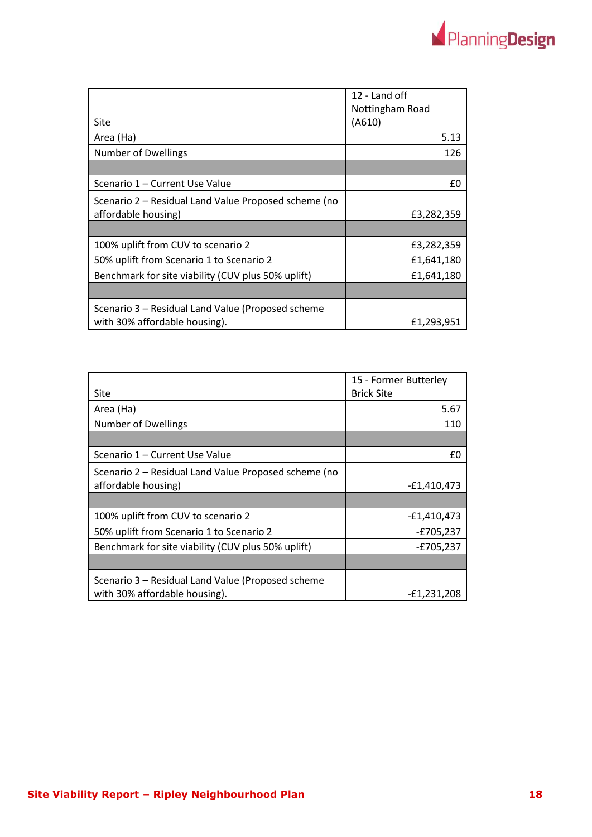

|                                                      | 12 - Land off   |
|------------------------------------------------------|-----------------|
|                                                      | Nottingham Road |
| Site                                                 | (A610)          |
| Area (Ha)                                            | 5.13            |
| <b>Number of Dwellings</b>                           | 126             |
|                                                      |                 |
| Scenario 1 – Current Use Value                       | £0              |
| Scenario 2 – Residual Land Value Proposed scheme (no |                 |
| affordable housing)                                  | £3,282,359      |
|                                                      |                 |
| 100% uplift from CUV to scenario 2                   | £3,282,359      |
| 50% uplift from Scenario 1 to Scenario 2             | £1,641,180      |
| Benchmark for site viability (CUV plus 50% uplift)   | £1,641,180      |
|                                                      |                 |
| Scenario 3 – Residual Land Value (Proposed scheme    |                 |
| with 30% affordable housing).                        | £1,293,951      |

|                                                      | 15 - Former Butterley |
|------------------------------------------------------|-----------------------|
| Site                                                 | <b>Brick Site</b>     |
| Area (Ha)                                            | 5.67                  |
| Number of Dwellings                                  | 110                   |
|                                                      |                       |
| Scenario 1 – Current Use Value                       | £0                    |
| Scenario 2 - Residual Land Value Proposed scheme (no |                       |
| affordable housing)                                  | $-E1,410,473$         |
|                                                      |                       |
| 100% uplift from CUV to scenario 2                   | $-E1,410,473$         |
| 50% uplift from Scenario 1 to Scenario 2             | $-E705,237$           |
| Benchmark for site viability (CUV plus 50% uplift)   | $-E705,237$           |
|                                                      |                       |
| Scenario 3 – Residual Land Value (Proposed scheme    |                       |
| with 30% affordable housing).                        | $-£1,231,208$         |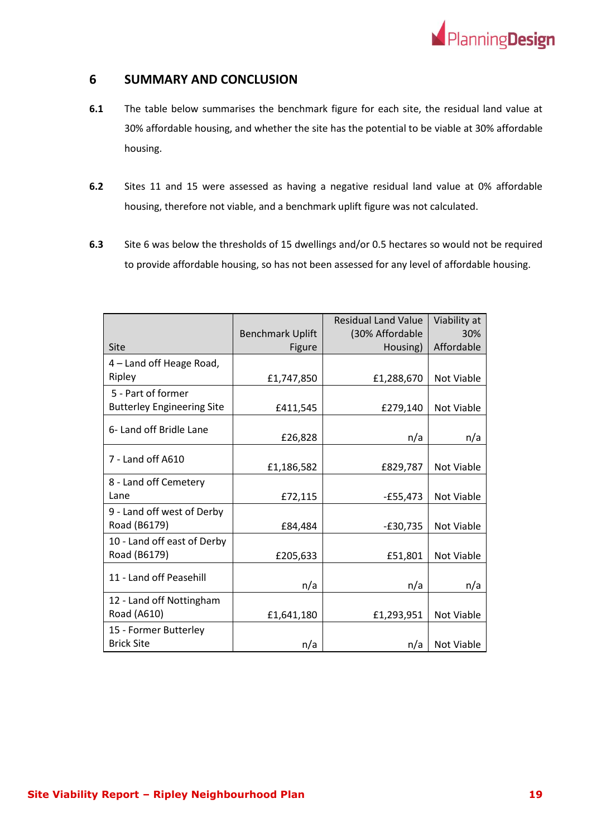

## <span id="page-19-0"></span>**6 SUMMARY AND CONCLUSION**

- **6.1** The table below summarises the benchmark figure for each site, the residual land value at 30% affordable housing, and whether the site has the potential to be viable at 30% affordable housing.
- **6.2** Sites 11 and 15 were assessed as having a negative residual land value at 0% affordable housing, therefore not viable, and a benchmark uplift figure was not calculated.
- **6.3** Site 6 was below the thresholds of 15 dwellings and/or 0.5 hectares so would not be required to provide affordable housing, so has not been assessed for any level of affordable housing.

|                                   |                         | <b>Residual Land Value</b> | Viability at |
|-----------------------------------|-------------------------|----------------------------|--------------|
|                                   | <b>Benchmark Uplift</b> | (30% Affordable            | 30%          |
| Site                              | Figure                  | Housing)                   | Affordable   |
| 4 – Land off Heage Road,          |                         |                            |              |
| Ripley                            | £1,747,850              | £1,288,670                 | Not Viable   |
| 5 - Part of former                |                         |                            |              |
| <b>Butterley Engineering Site</b> | £411,545                | £279,140                   | Not Viable   |
| 6- Land off Bridle Lane           | £26,828                 | n/a                        | n/a          |
|                                   |                         |                            |              |
| 7 - Land off A610                 | £1,186,582              | £829,787                   | Not Viable   |
| 8 - Land off Cemetery             |                         |                            |              |
| Lane                              | £72,115                 | $-£55,473$                 | Not Viable   |
| 9 - Land off west of Derby        |                         |                            |              |
| Road (B6179)                      | £84,484                 | $-E30,735$                 | Not Viable   |
| 10 - Land off east of Derby       |                         |                            |              |
| Road (B6179)                      | £205,633                | £51,801                    | Not Viable   |
|                                   |                         |                            |              |
| 11 - Land off Peasehill           | n/a                     | n/a                        | n/a          |
| 12 - Land off Nottingham          |                         |                            |              |
| Road (A610)                       | £1,641,180              | £1,293,951                 | Not Viable   |
| 15 - Former Butterley             |                         |                            |              |
| <b>Brick Site</b>                 | n/a                     | n/a                        | Not Viable   |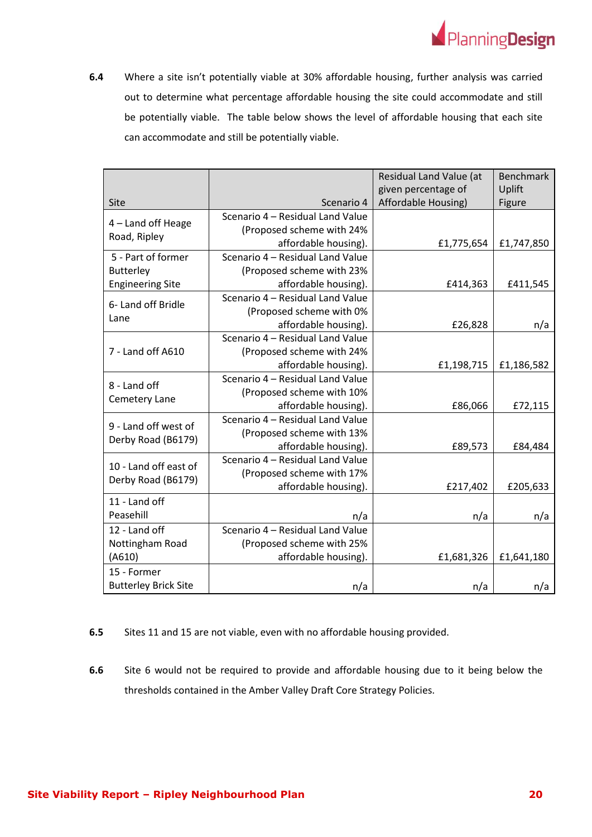

**6.4** Where a site isn't potentially viable at 30% affordable housing, further analysis was carried out to determine what percentage affordable housing the site could accommodate and still be potentially viable. The table below shows the level of affordable housing that each site can accommodate and still be potentially viable.

|                                             |                                  | Residual Land Value (at<br>given percentage of | <b>Benchmark</b><br>Uplift |
|---------------------------------------------|----------------------------------|------------------------------------------------|----------------------------|
| Site                                        | Scenario 4                       | Affordable Housing)                            | Figure                     |
|                                             | Scenario 4 - Residual Land Value |                                                |                            |
| 4 - Land off Heage                          | (Proposed scheme with 24%        |                                                |                            |
| Road, Ripley                                | affordable housing).             | £1,775,654                                     | £1,747,850                 |
| 5 - Part of former                          | Scenario 4 - Residual Land Value |                                                |                            |
| <b>Butterley</b>                            | (Proposed scheme with 23%        |                                                |                            |
| <b>Engineering Site</b>                     | affordable housing).             | £414,363                                       | £411,545                   |
| 6- Land off Bridle                          | Scenario 4 - Residual Land Value |                                                |                            |
| Lane                                        | (Proposed scheme with 0%         |                                                |                            |
|                                             | affordable housing).             | £26,828                                        | n/a                        |
|                                             | Scenario 4 - Residual Land Value |                                                |                            |
| 7 - Land off A610                           | (Proposed scheme with 24%        |                                                |                            |
|                                             | affordable housing).             | £1,198,715                                     | £1,186,582                 |
| 8 - Land off<br>Cemetery Lane               | Scenario 4 - Residual Land Value |                                                |                            |
|                                             | (Proposed scheme with 10%        |                                                |                            |
|                                             | affordable housing).             | £86,066                                        | £72,115                    |
| 9 - Land off west of<br>Derby Road (B6179)  | Scenario 4 - Residual Land Value |                                                |                            |
|                                             | (Proposed scheme with 13%        |                                                |                            |
|                                             | affordable housing).             | £89,573                                        | £84,484                    |
| 10 - Land off east of<br>Derby Road (B6179) | Scenario 4 - Residual Land Value |                                                |                            |
|                                             | (Proposed scheme with 17%        |                                                |                            |
|                                             | affordable housing).             | £217,402                                       | £205,633                   |
| 11 - Land off                               |                                  |                                                |                            |
| Peasehill                                   | n/a                              | n/a                                            | n/a                        |
| 12 - Land off                               | Scenario 4 - Residual Land Value |                                                |                            |
| Nottingham Road                             | (Proposed scheme with 25%        |                                                |                            |
| (A610)                                      | affordable housing).             | £1,681,326                                     | £1,641,180                 |
| 15 - Former                                 |                                  |                                                |                            |
| <b>Butterley Brick Site</b>                 | n/a                              | n/a                                            | n/a                        |

#### **6.5** Sites 11 and 15 are not viable, even with no affordable housing provided.

**6.6** Site 6 would not be required to provide and affordable housing due to it being below the thresholds contained in the Amber Valley Draft Core Strategy Policies.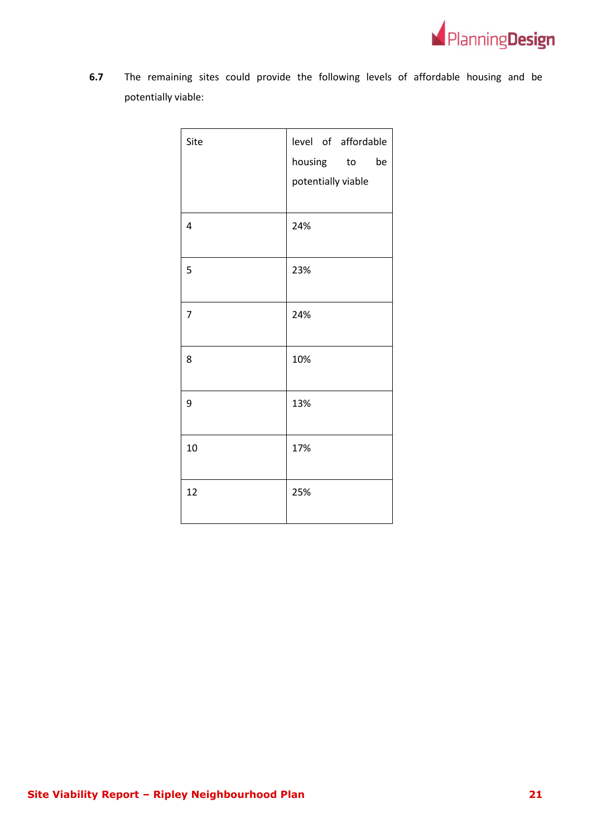

**6.7** The remaining sites could provide the following levels of affordable housing and be potentially viable:

| Site           | level of affordable |  |
|----------------|---------------------|--|
|                | housing to be       |  |
|                | potentially viable  |  |
|                |                     |  |
| $\overline{4}$ | 24%                 |  |
|                |                     |  |
| 5              | 23%                 |  |
|                |                     |  |
| 7              | 24%                 |  |
|                |                     |  |
| 8              | 10%                 |  |
|                |                     |  |
| 9              | 13%                 |  |
|                |                     |  |
| 10             | 17%                 |  |
|                |                     |  |
| 12             | 25%                 |  |
|                |                     |  |
|                |                     |  |